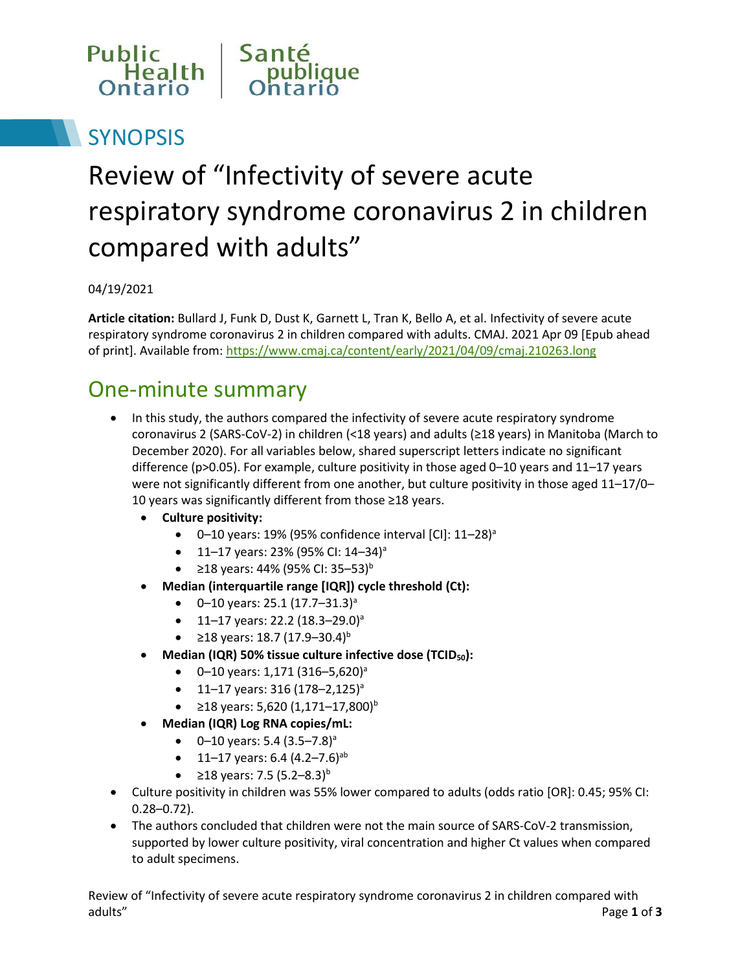

# **SYNOPSIS**

# Review of "Infectivity of severe acute respiratory syndrome coronavirus 2 in children compared with adults"

04/19/2021

**Article citation:** Bullard J, Funk D, Dust K, Garnett L, Tran K, Bello A, et al. Infectivity of severe acute respiratory syndrome coronavirus 2 in children compared with adults. CMAJ. 2021 Apr 09 [Epub ahead of print]. Available from: https://www.cmaj.ca/content/early/2021/04/09/cmaj.210263.long

#### One-minute summary

- In this study, the authors compared the infectivity of severe acute respiratory syndrome coronavirus 2 (SARS-CoV-2) in children (<18 years) and adults (≥18 years) in Manitoba (March to December 2020). For all variables below, shared superscript letters indicate no significant difference (p>0.05). For example, culture positivity in those aged 0–10 years and 11–17 years were not significantly different from one another, but culture positivity in those aged 11–17/0– 10 years was significantly different from those ≥18 years.
	- **Culture positivity:** 
		- $\bullet$  0–10 years: 19% (95% confidence interval [CI]: 11–28)<sup>a</sup>
		- $\bullet$  11–17 years: 23% (95% CI: 14–34)<sup>a</sup>
		- $\geq 18$  years: 44% (95% CI: 35–53)<sup>b</sup>
	- **Median (interquartile range [IQR]) cycle threshold (Ct):**
		- $\bullet$  0-10 years: 25.1 (17.7-31.3)<sup>a</sup>
		- 11–17 years: 22.2  $(18.3-29.0)$ <sup>a</sup>
		- $\geq 18$  years: 18.7 (17.9–30.4)<sup>b</sup>
	- **Median (IQR) 50% tissue culture infective dose (TCID50):**
		- $\bullet$  0-10 years: 1,171 (316-5,620)<sup>a</sup>
		- 11–17 years: 316 (178–2,125)<sup>a</sup>
		- $\geq$ 18 years: 5,620 (1,171–17,800)<sup>b</sup>
	- **Median (IQR) Log RNA copies/mL:**
		- $\bullet$  0–10 years: 5.4 (3.5–7.8)<sup>a</sup>
		- 11–17 years: 6.4  $(4.2-7.6)^{ab}$
		- $\geq 18$  years: 7.5 (5.2–8.3)<sup>b</sup>
- Culture positivity in children was 55% lower compared to adults (odds ratio [OR]: 0.45; 95% CI: 0.28–0.72).
- The authors concluded that children were not the main source of SARS-CoV-2 transmission, supported by lower culture positivity, viral concentration and higher Ct values when compared to adult specimens.

Review of "Infectivity of severe acute respiratory syndrome coronavirus 2 in children compared with adults" Page **1** of **3**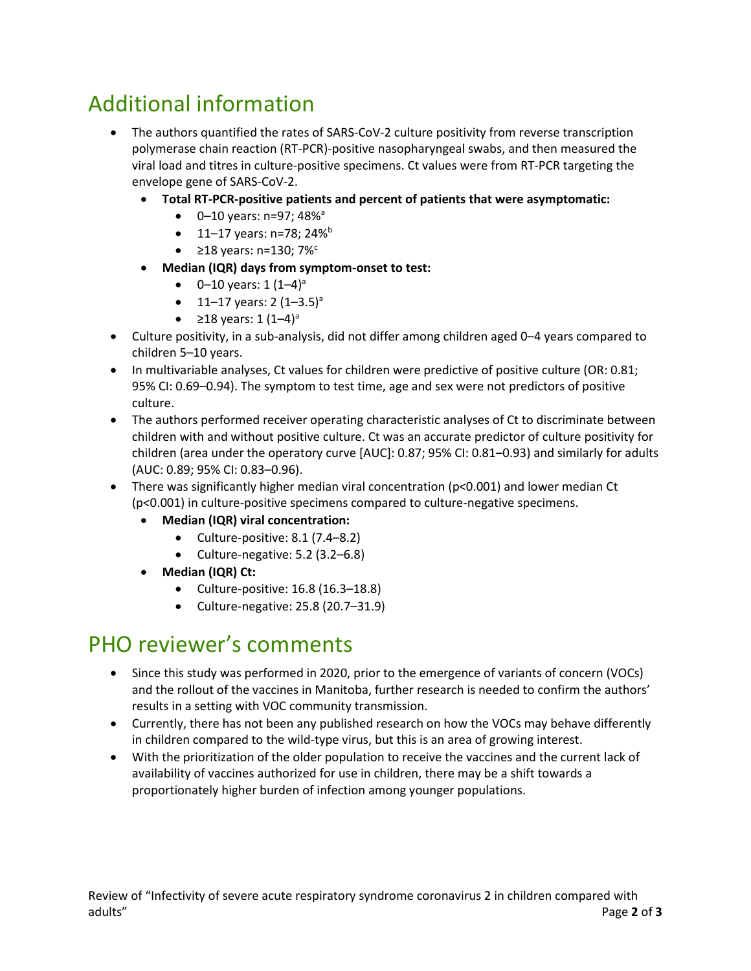## Additional information

- The authors quantified the rates of SARS-CoV-2 culture positivity from reverse transcription polymerase chain reaction (RT-PCR)-positive nasopharyngeal swabs, and then measured the viral load and titres in culture-positive specimens. Ct values were from RT-PCR targeting the envelope gene of SARS-CoV-2.
	- **Total RT-PCR-positive patients and percent of patients that were asymptomatic:**
		- $\bullet$  0-10 years: n=97; 48% $^{\circ}$
		- 11–17 years:  $n=78$ ; 24%<sup>b</sup>
		- $≥18$  years: n=130; 7% $<sup>c</sup>$ </sup>
	- **Median (IQR) days from symptom-onset to test:**
		- 0-10 years:  $1(1-4)^{a}$
		- 11–17 years:  $2(1-3.5)^a$
		- $\geq 18$  years: 1  $(1-4)^a$
- Culture positivity, in a sub-analysis, did not differ among children aged 0–4 years compared to children 5–10 years.
- In multivariable analyses, Ct values for children were predictive of positive culture (OR: 0.81; 95% CI: 0.69–0.94). The symptom to test time, age and sex were not predictors of positive culture.
- The authors performed receiver operating characteristic analyses of Ct to discriminate between children with and without positive culture. Ct was an accurate predictor of culture positivity for children (area under the operatory curve [AUC]: 0.87; 95% CI: 0.81–0.93) and similarly for adults (AUC: 0.89; 95% CI: 0.83–0.96).
- There was significantly higher median viral concentration (p<0.001) and lower median Ct (p<0.001) in culture-positive specimens compared to culture-negative specimens.
	- **Median (IQR) viral concentration:** 
		- Culture-positive: 8.1 (7.4–8.2)
		- $\bullet$  Culture-negative: 5.2 (3.2–6.8)
	- **Median (IQR) Ct:** 
		- Culture-positive: 16.8 (16.3–18.8)
		- Culture-negative: 25.8 (20.7–31.9)

#### PHO reviewer's comments

- Since this study was performed in 2020, prior to the emergence of variants of concern (VOCs) and the rollout of the vaccines in Manitoba, further research is needed to confirm the authors' results in a setting with VOC community transmission.
- Currently, there has not been any published research on how the VOCs may behave differently in children compared to the wild-type virus, but this is an area of growing interest.
- With the prioritization of the older population to receive the vaccines and the current lack of availability of vaccines authorized for use in children, there may be a shift towards a proportionately higher burden of infection among younger populations.